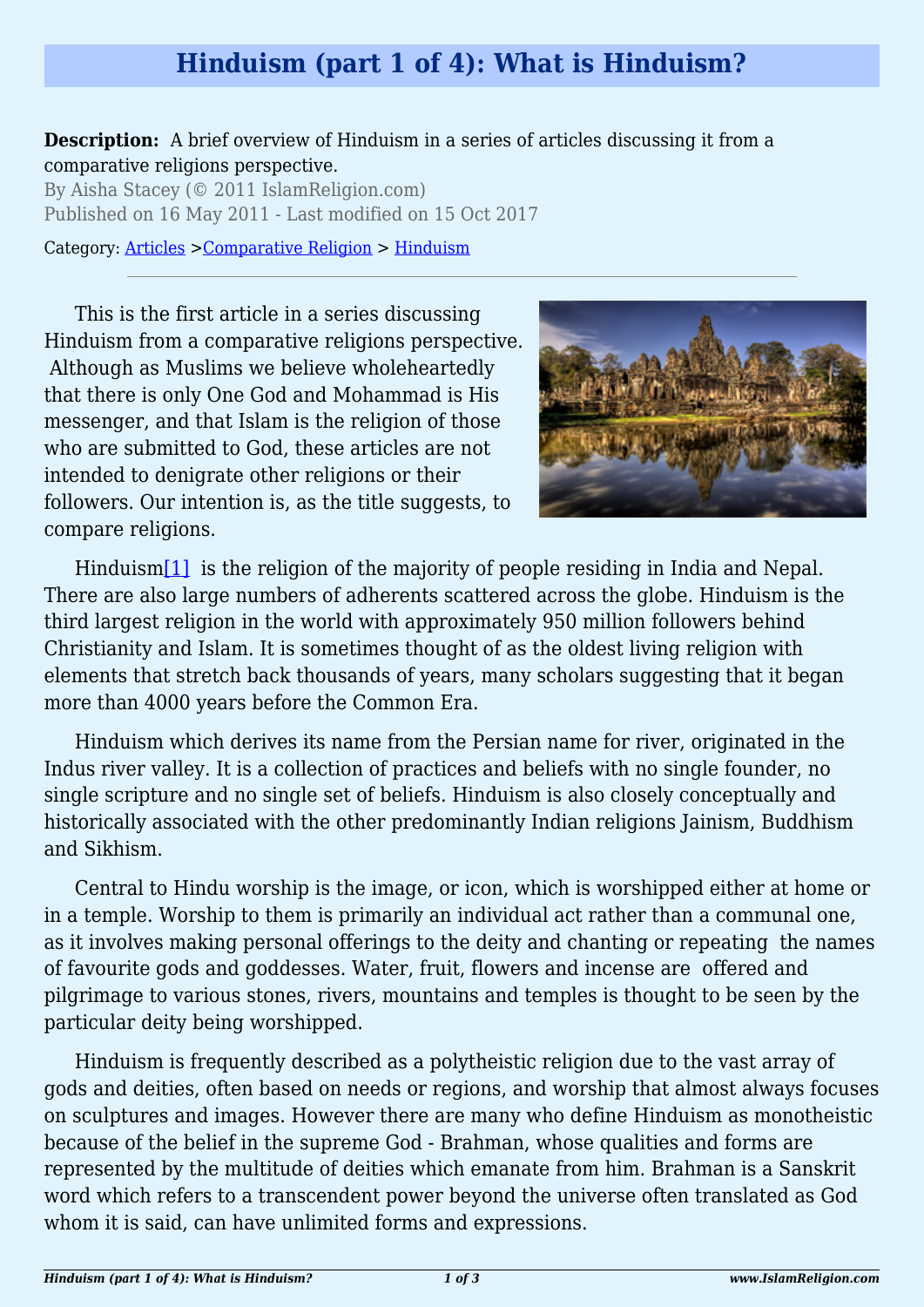## **Hinduism (part 1 of 4): What is Hinduism?**

**Description:** A brief overview of Hinduism in a series of articles discussing it from a comparative religions perspective.

By Aisha Stacey (© 2011 IslamReligion.com) Published on 16 May 2011 - Last modified on 15 Oct 2017

Category: [Articles](http://www.islamreligion.com/articles/) >[Comparative Religion](http://www.islamreligion.com/category/68/) > [Hinduism](http://www.islamreligion.com/category/74/)

This is the first article in a series discussing Hinduism from a comparative religions perspective. Although as Muslims we believe wholeheartedly that there is only One God and Mohammad is His messenger, and that Islam is the religion of those who are submitted to God, these articles are not intended to denigrate other religions or their followers. Our intention is, as the title suggests, to compare religions.



<span id="page-0-0"></span>Hinduism<sup>[\[1\]](#page-2-0)</sup> is the religion of the majority of people residing in India and Nepal. There are also large numbers of adherents scattered across the globe. Hinduism is the third largest religion in the world with approximately 950 million followers behind Christianity and Islam. It is sometimes thought of as the oldest living religion with elements that stretch back thousands of years, many scholars suggesting that it began more than 4000 years before the Common Era.

Hinduism which derives its name from the Persian name for river, originated in the Indus river valley. It is a collection of practices and beliefs with no single founder, no single scripture and no single set of beliefs. Hinduism is also closely conceptually and historically associated with the other predominantly Indian religions Jainism, Buddhism and Sikhism.

Central to Hindu worship is the image, or icon, which is worshipped either at home or in a temple. Worship to them is primarily an individual act rather than a communal one, as it involves making personal offerings to the deity and chanting or repeating the names of favourite gods and goddesses. Water, fruit, flowers and incense are offered and pilgrimage to various stones, rivers, mountains and temples is thought to be seen by the particular deity being worshipped.

Hinduism is frequently described as a polytheistic religion due to the vast array of gods and deities, often based on needs or regions, and worship that almost always focuses on sculptures and images. However there are many who define Hinduism as monotheistic because of the belief in the supreme God - Brahman, whose qualities and forms are represented by the multitude of deities which emanate from him. Brahman is a Sanskrit word which refers to a transcendent power beyond the universe often translated as God whom it is said, can have unlimited forms and expressions.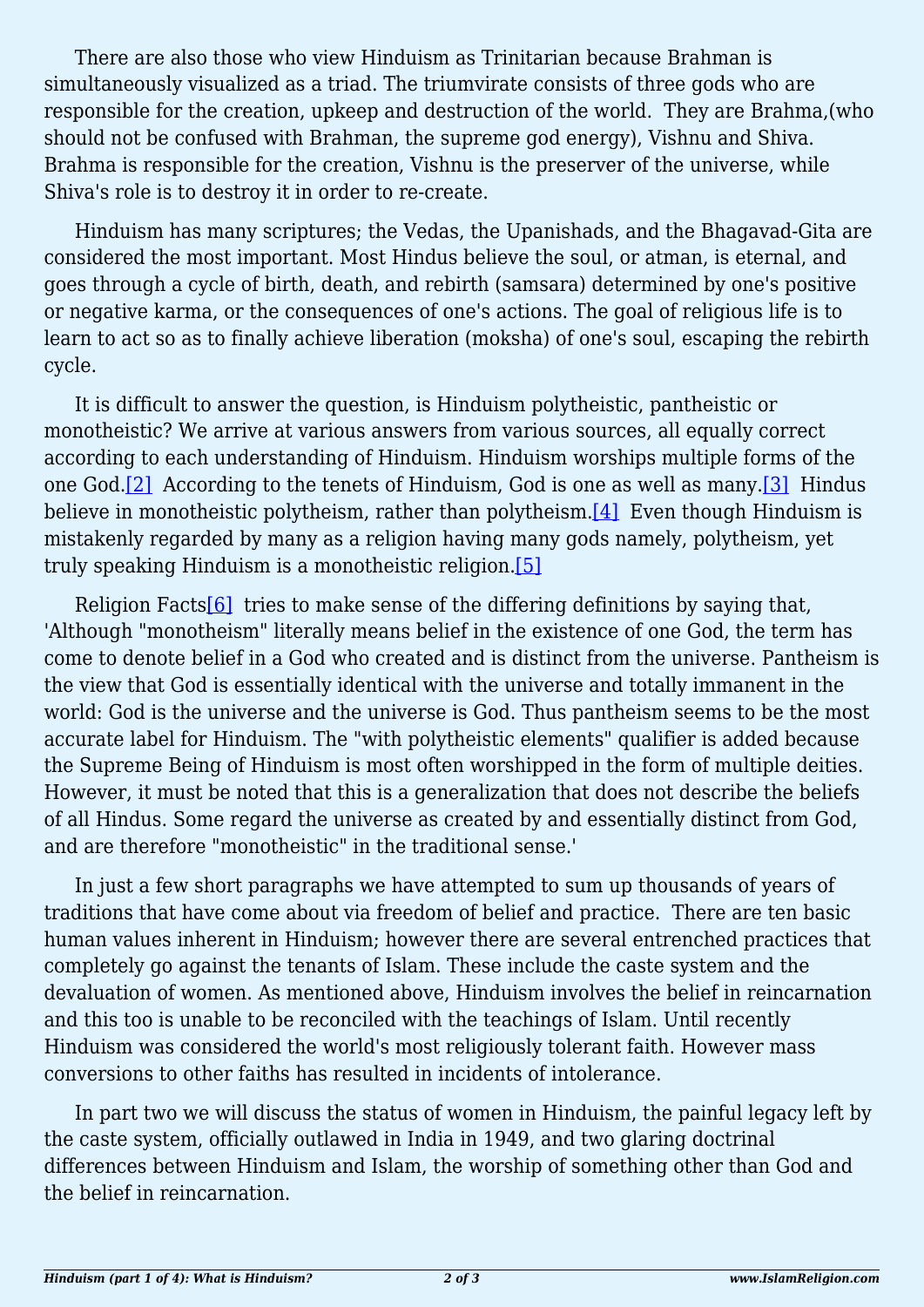There are also those who view Hinduism as Trinitarian because Brahman is simultaneously visualized as a triad. The triumvirate consists of three gods who are responsible for the creation, upkeep and destruction of the world. They are Brahma,(who should not be confused with Brahman, the supreme god energy), Vishnu and Shiva. Brahma is responsible for the creation, Vishnu is the preserver of the universe, while Shiva's role is to destroy it in order to re-create.

Hinduism has many scriptures; the Vedas, the Upanishads, and the Bhagavad-Gita are considered the most important. Most Hindus believe the soul, or atman, is eternal, and goes through a cycle of birth, death, and rebirth (samsara) determined by one's positive or negative karma, or the consequences of one's actions. The goal of religious life is to learn to act so as to finally achieve liberation (moksha) of one's soul, escaping the rebirth cycle.

<span id="page-1-0"></span>It is difficult to answer the question, is Hinduism polytheistic, pantheistic or monotheistic? We arrive at various answers from various sources, all equally correct according to each understanding of Hinduism. Hinduism worships multiple forms of the one God[.\[2\]](#page-2-1) According to the tenets of Hinduism, God is one as well as many.[\[3\]](#page-2-2) Hindus believe in monotheistic polytheism, rather than polytheism. $[4]$  Even though Hinduism is mistakenly regarded by many as a religion having many gods namely, polytheism, yet truly speaking Hinduism is a monotheistic religion[.\[5\]](#page-2-4)

<span id="page-1-3"></span><span id="page-1-2"></span><span id="page-1-1"></span>Religion Facts<sup>[6]</sup> tries to make sense of the differing definitions by saying that, 'Although "monotheism" literally means belief in the existence of one God, the term has come to denote belief in a God who created and is distinct from the universe. Pantheism is the view that God is essentially identical with the universe and totally immanent in the world: God is the universe and the universe is God. Thus pantheism seems to be the most accurate label for Hinduism. The "with polytheistic elements" qualifier is added because the Supreme Being of Hinduism is most often worshipped in the form of multiple deities. However, it must be noted that this is a generalization that does not describe the beliefs of all Hindus. Some regard the universe as created by and essentially distinct from God, and are therefore "monotheistic" in the traditional sense.'

In just a few short paragraphs we have attempted to sum up thousands of years of traditions that have come about via freedom of belief and practice. There are ten basic human values inherent in Hinduism; however there are several entrenched practices that completely go against the tenants of Islam. These include the caste system and the devaluation of women. As mentioned above, Hinduism involves the belief in reincarnation and this too is unable to be reconciled with the teachings of Islam. Until recently Hinduism was considered the world's most religiously tolerant faith. However mass conversions to other faiths has resulted in incidents of intolerance.

In part two we will discuss the status of women in Hinduism, the painful legacy left by the caste system, officially outlawed in India in 1949, and two glaring doctrinal differences between Hinduism and Islam, the worship of something other than God and the belief in reincarnation.